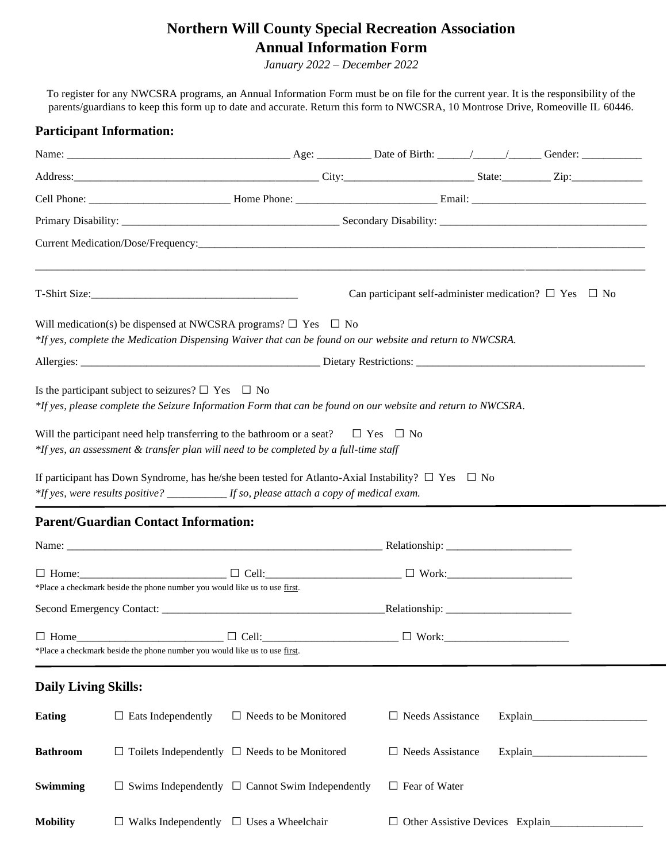## **Northern Will County Special Recreation Association Annual Information Form**

*January 2022 – December 2022*

To register for any NWCSRA programs, an Annual Information Form must be on file for the current year. It is the responsibility of the parents/guardians to keep this form up to date and accurate. Return this form to NWCSRA, 10 Montrose Drive, Romeoville IL 60446.

## **Participant Information:**

|                                                                                                                                                                                                                 |                                                                                                                                                                                       |                              | Can participant self-administer medication? $\Box$ Yes $\Box$ No |  |  |  |  |  |
|-----------------------------------------------------------------------------------------------------------------------------------------------------------------------------------------------------------------|---------------------------------------------------------------------------------------------------------------------------------------------------------------------------------------|------------------------------|------------------------------------------------------------------|--|--|--|--|--|
|                                                                                                                                                                                                                 | Will medication(s) be dispensed at NWCSRA programs? $\Box$ Yes $\Box$ No<br>*If yes, complete the Medication Dispensing Waiver that can be found on our website and return to NWCSRA. |                              |                                                                  |  |  |  |  |  |
|                                                                                                                                                                                                                 |                                                                                                                                                                                       |                              |                                                                  |  |  |  |  |  |
|                                                                                                                                                                                                                 | Is the participant subject to seizures? $\square$ Yes $\square$ No<br>*If yes, please complete the Seizure Information Form that can be found on our website and return to NWCSRA.    |                              |                                                                  |  |  |  |  |  |
| Will the participant need help transferring to the bathroom or a seat? $\square$ Yes $\square$ No<br>*If yes, an assessment & transfer plan will need to be completed by a full-time staff                      |                                                                                                                                                                                       |                              |                                                                  |  |  |  |  |  |
| If participant has Down Syndrome, has he/she been tested for Atlanto-Axial Instability? $\square$ Yes $\square$ No<br>*If yes, were results positive? ____________ If so, please attach a copy of medical exam. |                                                                                                                                                                                       |                              |                                                                  |  |  |  |  |  |
|                                                                                                                                                                                                                 | <b>Parent/Guardian Contact Information:</b>                                                                                                                                           |                              |                                                                  |  |  |  |  |  |
|                                                                                                                                                                                                                 |                                                                                                                                                                                       |                              |                                                                  |  |  |  |  |  |
|                                                                                                                                                                                                                 | *Place a checkmark beside the phone number you would like us to use first.                                                                                                            |                              |                                                                  |  |  |  |  |  |
|                                                                                                                                                                                                                 |                                                                                                                                                                                       |                              |                                                                  |  |  |  |  |  |
| $\Box$ Home                                                                                                                                                                                                     | $\Box$ Cell:<br>*Place a checkmark beside the phone number you would like us to use first.                                                                                            |                              | $\Box$ Work:                                                     |  |  |  |  |  |
| <b>Daily Living Skills:</b>                                                                                                                                                                                     |                                                                                                                                                                                       |                              |                                                                  |  |  |  |  |  |
| <b>Eating</b>                                                                                                                                                                                                   | $\Box$ Eats Independently                                                                                                                                                             | $\Box$ Needs to be Monitored | $\Box$ Needs Assistance                                          |  |  |  |  |  |
| <b>Bathroom</b>                                                                                                                                                                                                 | $\Box$ Toilets Independently $\Box$ Needs to be Monitored                                                                                                                             |                              | $\Box$ Needs Assistance                                          |  |  |  |  |  |
| Swimming                                                                                                                                                                                                        | $\Box$ Swims Independently $\Box$ Cannot Swim Independently                                                                                                                           |                              | $\Box$ Fear of Water                                             |  |  |  |  |  |
| <b>Mobility</b>                                                                                                                                                                                                 | $\Box$ Walks Independently $\Box$ Uses a Wheelchair                                                                                                                                   |                              | $\Box$ Other Assistive Devices Explain                           |  |  |  |  |  |